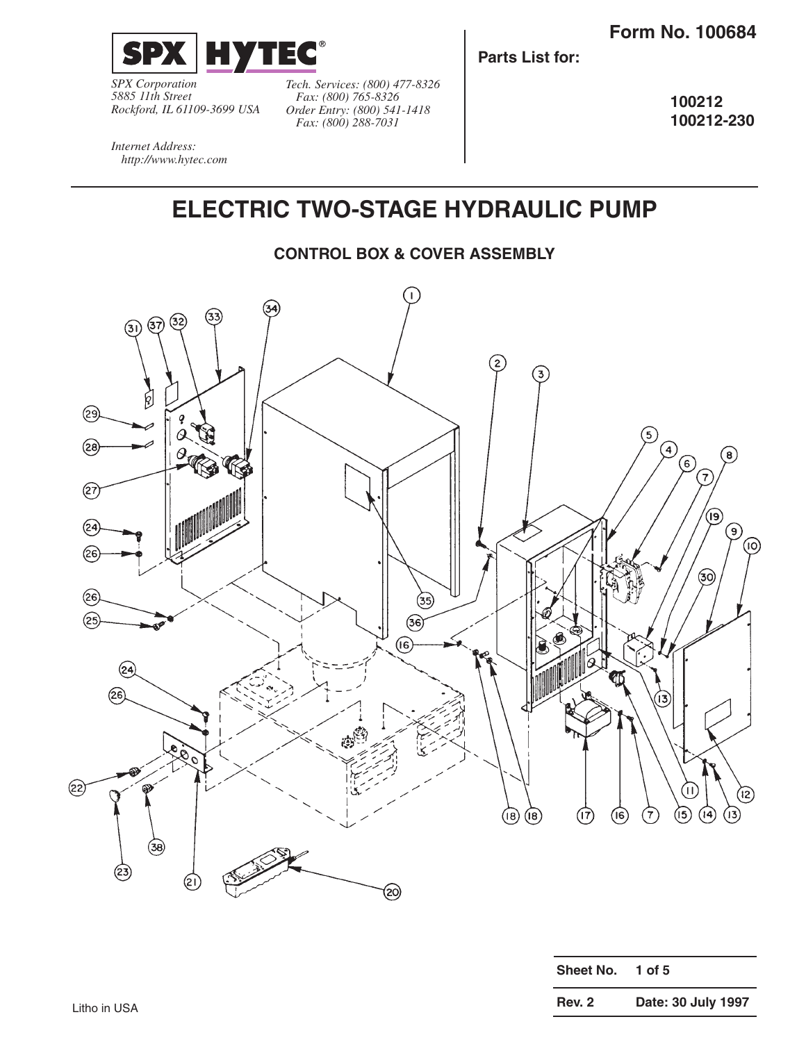

*SPX Corporation 5885 11th Street Rockford, IL 61109-3699 USA*

*Internet Address: http://www.hytec.com*

*Tech. Services: (800) 477-8326 Fax: (800) 765-8326 Order Entry: (800) 541-1418 Fax: (800) 288-7031*

**Parts List for:**

**100212 100212-230**

**ELECTRIC TWO-STAGE HYDRAULIC PUMP**

#### **CONTROL BOX & COVER ASSEMBLY**



| Sheet No.     | 1 of $5$           |
|---------------|--------------------|
| <b>Rev. 2</b> | Date: 30 July 1997 |
|               |                    |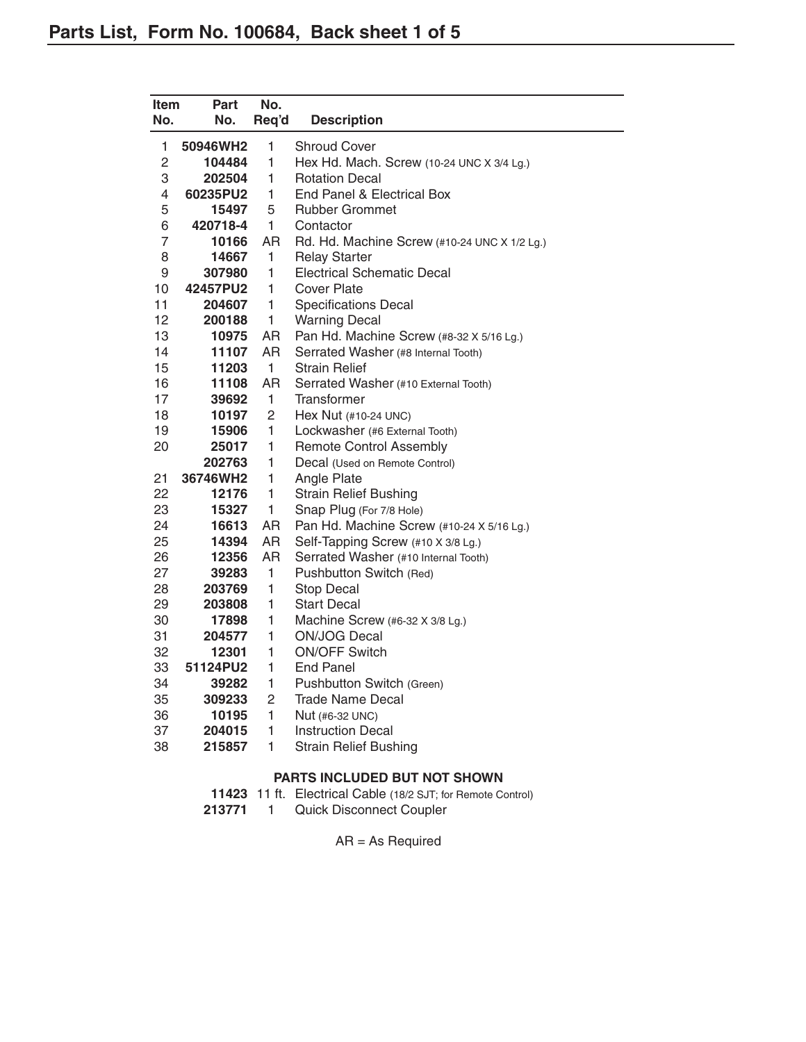| Item<br>No.    | Part<br>No.        | No.<br>Req'd   |                                               |
|----------------|--------------------|----------------|-----------------------------------------------|
|                |                    |                | <b>Description</b>                            |
| 1              | 50946WH2           | 1              | <b>Shroud Cover</b>                           |
| $\overline{c}$ | 104484             | 1              | Hex Hd. Mach. Screw (10-24 UNC X 3/4 Lg.)     |
| 3              | 202504             | 1              | <b>Rotation Decal</b>                         |
| 4              | 60235PU2           | 1              | End Panel & Electrical Box                    |
| 5              | 15497              | 5              | <b>Rubber Grommet</b>                         |
| 6              | 420718-4           | $\mathbf{1}$   | Contactor                                     |
| 7              | 10166              | AR             | Rd. Hd. Machine Screw (#10-24 UNC X 1/2 Lg.)  |
| 8              | 14667              | 1              | <b>Relay Starter</b>                          |
| 9              | 307980             | $\mathbf{1}$   | <b>Electrical Schematic Decal</b>             |
| 10             | 42457PU2           | 1              | <b>Cover Plate</b>                            |
| 11             | 204607             | 1              | <b>Specifications Decal</b>                   |
| 12             | 200188             | 1              | <b>Warning Decal</b>                          |
| 13             | 10975              | <b>AR</b>      | Pan Hd. Machine Screw (#8-32 X 5/16 Lg.)      |
| 14             | 11107              | AR             | Serrated Washer (#8 Internal Tooth)           |
| 15             | 11203              | $\overline{1}$ | <b>Strain Relief</b>                          |
| 16             | 11108              | AR             | Serrated Washer (#10 External Tooth)          |
| 17             | 39692              | 1              | Transformer                                   |
| 18             | 10197              | $\overline{c}$ | Hex Nut (#10-24 UNC)                          |
| 19             | 15906              | 1              | Lockwasher (#6 External Tooth)                |
| 20             | 25017              | 1<br>1         | <b>Remote Control Assembly</b>                |
| 21             | 202763<br>36746WH2 | 1              | Decal (Used on Remote Control)<br>Angle Plate |
| 22             | 12176              | $\mathbf{1}$   | <b>Strain Relief Bushing</b>                  |
| 23             | 15327              | 1              | Snap Plug (For 7/8 Hole)                      |
| 24             | 16613              | AR             | Pan Hd. Machine Screw (#10-24 X 5/16 Lg.)     |
| 25             | 14394              | AR             | Self-Tapping Screw (#10 X 3/8 Lg.)            |
| 26             | 12356              | <b>AR</b>      | Serrated Washer (#10 Internal Tooth)          |
| 27             | 39283              | $\mathbf{1}$   | Pushbutton Switch (Red)                       |
| 28             | 203769             | $\mathbf{1}$   | <b>Stop Decal</b>                             |
| 29             | 203808             | 1              | Start Decal                                   |
| 30             | 17898              | 1              | Machine Screw (#6-32 X 3/8 Lg.)               |
| 31             | 204577             | $\mathbf{1}$   | ON/JOG Decal                                  |
| 32             | 12301              | 1              | <b>ON/OFF Switch</b>                          |
| 33             | 51124PU2           | 1              | <b>End Panel</b>                              |
| 34             | 39282              | 1              | Pushbutton Switch (Green)                     |
| 35             | 309233             | 2              | Trade Name Decal                              |
| 36             | 10195              | $\mathbf{1}$   | Nut (#6-32 UNC)                               |
| 37             | 204015             | 1              | Instruction Decal                             |
| 38             | 215857             | 1              | <b>Strain Relief Bushing</b>                  |

#### **PARTS INCLUDED BUT NOT SHOWN**

| 11423 11 ft. Electrical Cable (18/2 SJT; for Remote Control) |
|--------------------------------------------------------------|
|                                                              |

213771 1 Quick Disconnect Coupler

AR = As Required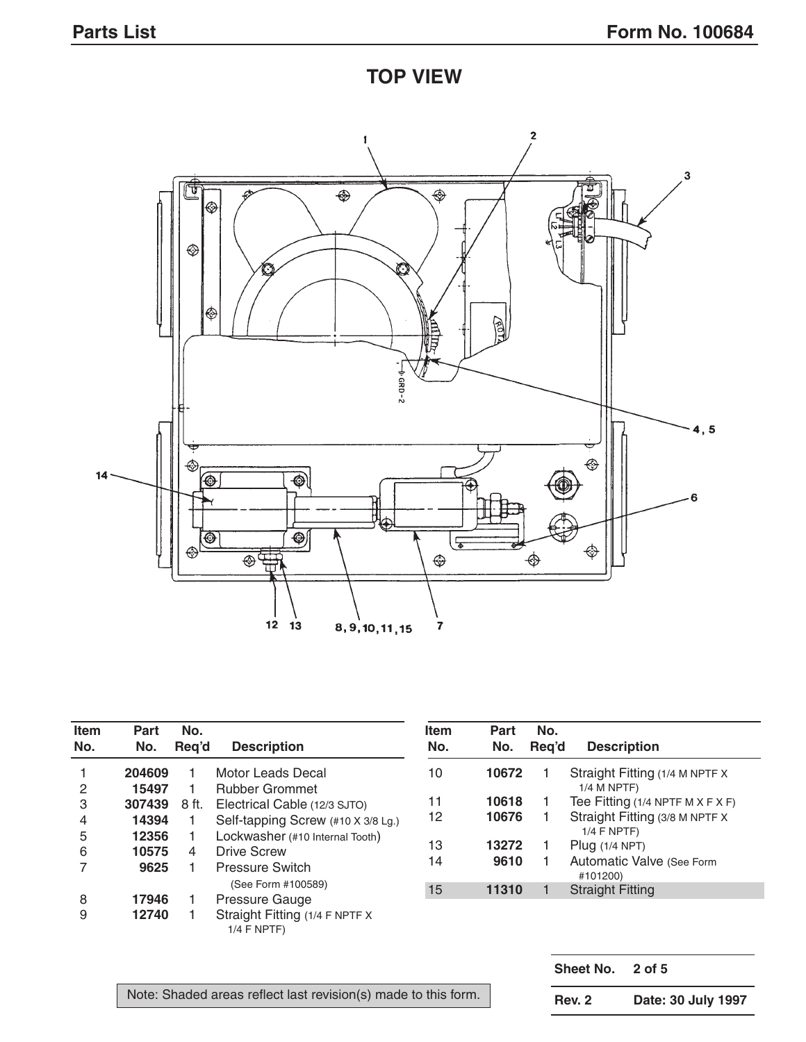**TOP VIEW**



| Item<br>No. | Part<br>No.    | No.<br>Reg'd | <b>Description</b>                                    | <b>Item</b><br>No. | Part<br>No. | No.<br>Reg'd | <b>Description</b>                               |
|-------------|----------------|--------------|-------------------------------------------------------|--------------------|-------------|--------------|--------------------------------------------------|
|             | 204609         |              | Motor Leads Decal                                     | 10                 | 10672       |              | Straight Fitting (1/4 M NPTF X                   |
| 2           | 15497          |              | <b>Rubber Grommet</b>                                 |                    |             |              | $1/4$ M NPTF)                                    |
| 3           | 307439         | 8 ft.        | Electrical Cable (12/3 SJTO)                          | 11                 | 10618       |              | Tee Fitting $(1/4$ NPTF M X F X F)               |
| 4           | 14394          |              | Self-tapping Screw (#10 X 3/8 Lg.)                    | 12                 | 10676       |              | Straight Fitting (3/8 M NPTF X)<br>$1/4$ F NPTF) |
| 5<br>6      | 12356<br>10575 | 4            | Lockwasher (#10 Internal Tooth)<br><b>Drive Screw</b> | 13                 | 13272       |              | Plug $(1/4$ NPT)                                 |
|             | 9625           |              | <b>Pressure Switch</b>                                | 14                 | 9610        |              | Automatic Valve (See Form<br>#101200)            |
|             |                |              | (See Form #100589)                                    | 15                 | 11310       |              | <b>Straight Fitting</b>                          |
| 8           | 17946          |              | Pressure Gauge                                        |                    |             |              |                                                  |
| 9           | 12740          |              | Straight Fitting (1/4 F NPTF X<br>$1/4$ F NPTF)       |                    |             |              |                                                  |

Note: Shaded areas reflect last revision(s) made to this form.

**Sheet No. 2 of 5 Rev. 2 Date: 30 July 1997**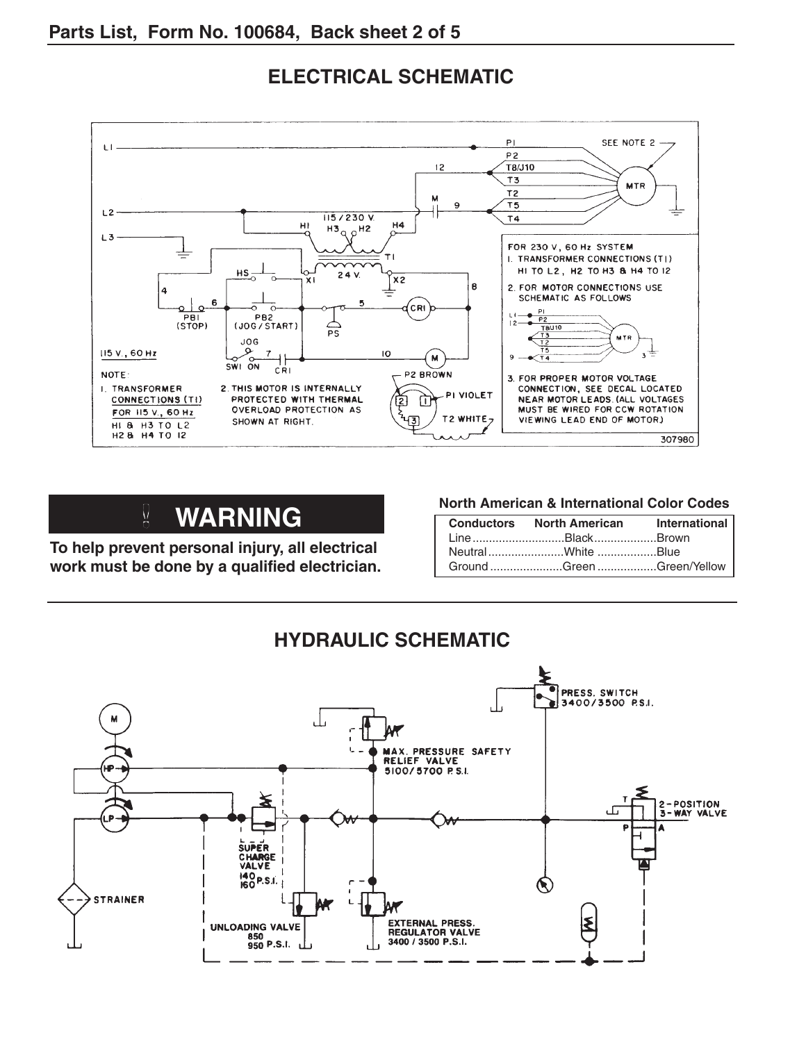

## **ELECTRICAL SCHEMATIC**

# **WARNING**

**To help prevent personal injury, all electrical work must be done by a qualified electrician.**

#### **North American & International Color Codes**

| Conductors North American International<br>LineBlackBrown |  |
|-----------------------------------------------------------|--|
|                                                           |  |
| Ground Green Green/Yellow                                 |  |

### **HYDRAULIC SCHEMATIC**

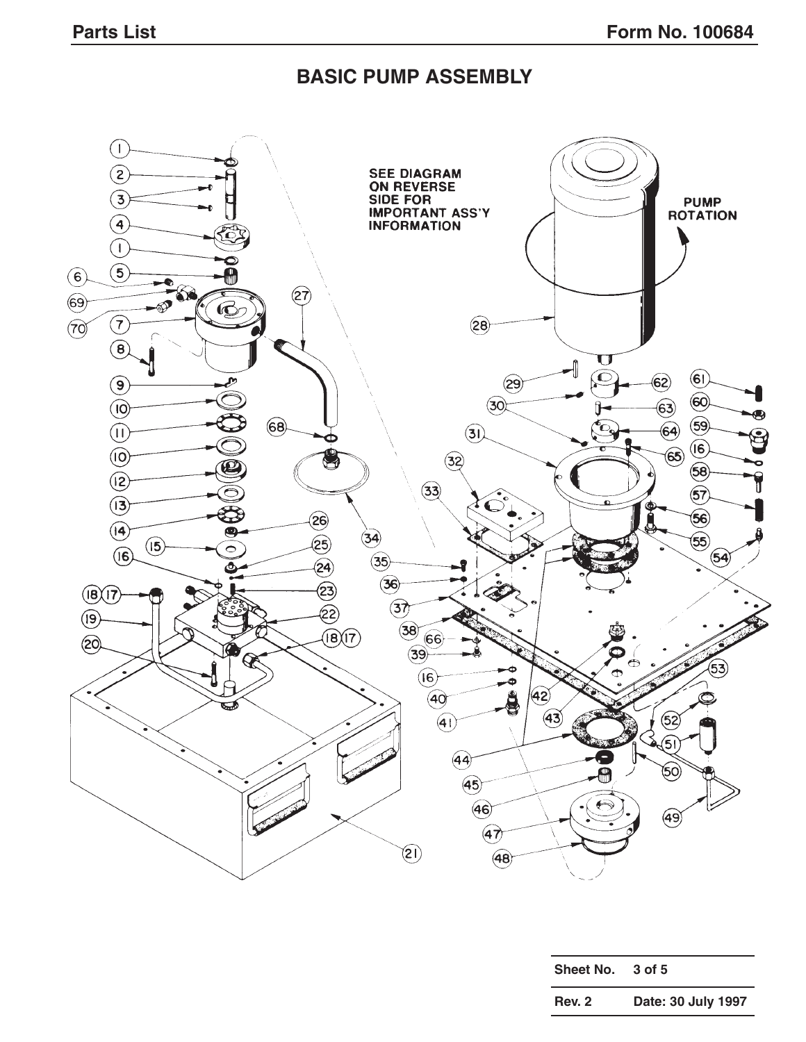#### **BASIC PUMP ASSEMBLY**



| Sheet No.     | 3 of 5             |
|---------------|--------------------|
| <b>Rev. 2</b> | Date: 30 July 1997 |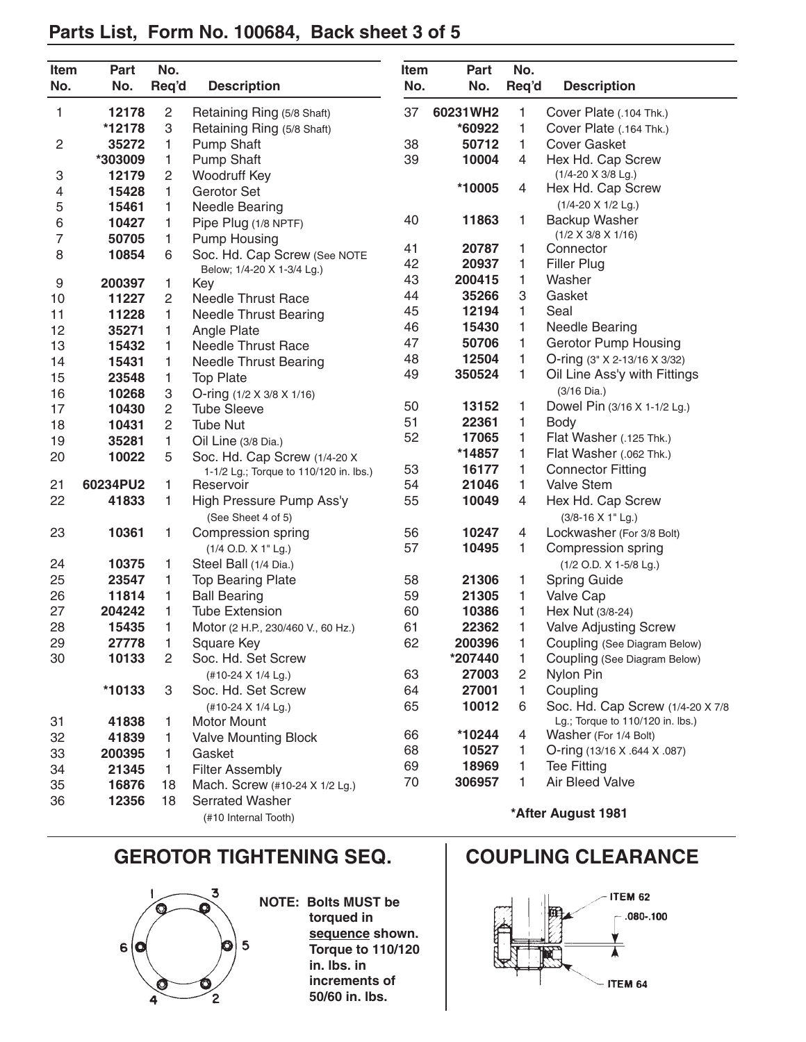| Item             | Part     | No.            |                                        | Item                                   | Part     | No.   |                                  |
|------------------|----------|----------------|----------------------------------------|----------------------------------------|----------|-------|----------------------------------|
| No.              | No.      | Req'd          | <b>Description</b>                     | No.                                    | No.      | Req'd | <b>Description</b>               |
| 1                | 12178    | 2              | Retaining Ring (5/8 Shaft)             | 37                                     | 60231WH2 | 1     | Cover Plate (.104 Thk.)          |
|                  | *12178   | З              | Retaining Ring (5/8 Shaft)             | 1<br>*60922<br>Cover Plate (.164 Thk.) |          |       |                                  |
| $\overline{c}$   | 35272    | 1              | <b>Pump Shaft</b>                      | 38                                     | 50712    | 1     | <b>Cover Gasket</b>              |
|                  | *303009  | 1              | <b>Pump Shaft</b>                      | 39                                     | 10004    | 4     | Hex Hd. Cap Screw                |
| 3                | 12179    | 2              | Woodruff Key                           |                                        |          |       | $(1/4 - 20 \times 3/8$ Lg.)      |
| 4                | 15428    | 1              | Gerotor Set                            |                                        | *10005   | 4     | Hex Hd. Cap Screw                |
| 5                | 15461    | 1              | <b>Needle Bearing</b>                  |                                        |          |       | $(1/4 - 20 \times 1/2$ Lg.)      |
| 6                | 10427    | 1              | Pipe Plug (1/8 NPTF)                   | 40                                     | 11863    | 1     | Backup Washer                    |
| $\overline{7}$   | 50705    | 1              | <b>Pump Housing</b>                    |                                        |          |       | $(1/2 \times 3/8 \times 1/16)$   |
| 8                | 10854    | 6              | Soc. Hd. Cap Screw (See NOTE           | 41                                     | 20787    | 1     | Connector                        |
|                  |          |                | Below; 1/4-20 X 1-3/4 Lg.)             | 42                                     | 20937    | 1     | <b>Filler Plug</b>               |
| $\boldsymbol{9}$ | 200397   | 1              | Key                                    | 43                                     | 200415   | 1     | Washer                           |
| 10               | 11227    | 2              | <b>Needle Thrust Race</b>              | 44                                     | 35266    | 3     | Gasket                           |
| 11               | 11228    | 1              | <b>Needle Thrust Bearing</b>           | 45                                     | 12194    | 1     | Seal                             |
| 12               | 35271    | 1              | Angle Plate                            | 46                                     | 15430    | 1     | <b>Needle Bearing</b>            |
| 13               | 15432    | 1              | Needle Thrust Race                     | 47                                     | 50706    | 1     | <b>Gerotor Pump Housing</b>      |
| 14               | 15431    | 1              | <b>Needle Thrust Bearing</b>           | 48                                     | 12504    | 1     | O-ring (3" X 2-13/16 X 3/32)     |
| 15               | 23548    | 1              | <b>Top Plate</b>                       | 49                                     | 350524   | 1     | Oil Line Ass'y with Fittings     |
| 16               | 10268    | 3              | O-ring (1/2 X 3/8 X 1/16)              |                                        |          |       | $(3/16 \text{ Dia.})$            |
| 17               | 10430    | $\overline{c}$ | <b>Tube Sleeve</b>                     | 50                                     | 13152    | 1     | Dowel Pin (3/16 X 1-1/2 Lg.)     |
| 18               | 10431    | $\overline{2}$ | <b>Tube Nut</b>                        | 51                                     | 22361    | 1     | Body                             |
| 19               | 35281    | 1              | Oil Line (3/8 Dia.)                    | 52                                     | 17065    | 1     | Flat Washer (.125 Thk.)          |
| 20               | 10022    | 5              | Soc. Hd. Cap Screw (1/4-20 X           |                                        | *14857   | 1     | Flat Washer (.062 Thk.)          |
|                  |          |                | 1-1/2 Lg.; Torque to 110/120 in. lbs.) | 53                                     | 16177    | 1     | <b>Connector Fitting</b>         |
| 21               | 60234PU2 | 1              | Reservoir                              | 54                                     | 21046    | 1     | <b>Valve Stem</b>                |
| 22               | 41833    | 1              | High Pressure Pump Ass'y               | 55                                     | 10049    | 4     | Hex Hd. Cap Screw                |
|                  |          |                | (See Sheet 4 of 5)                     |                                        |          |       | (3/8-16 X 1" Lg.)                |
| 23               | 10361    | 1              | Compression spring                     | 56                                     | 10247    | 4     | Lockwasher (For 3/8 Bolt)        |
|                  |          |                | (1/4 O.D. X 1" Lg.)                    | 57                                     | 10495    | 1     | Compression spring               |
| 24               | 10375    | 1              | Steel Ball (1/4 Dia.)                  |                                        |          |       | (1/2 O.D. X 1-5/8 Lg.)           |
| 25               | 23547    | 1              | <b>Top Bearing Plate</b>               | 58                                     | 21306    | 1     | <b>Spring Guide</b>              |
| 26               | 11814    | 1              | <b>Ball Bearing</b>                    | 59                                     | 21305    | 1     | Valve Cap                        |
| 27               | 204242   | 1              | <b>Tube Extension</b>                  | 60                                     | 10386    | 1     | Hex Nut (3/8-24)                 |
| 28               | 15435    | 1              | Motor (2 H.P., 230/460 V., 60 Hz.)     | 61                                     | 22362    | 1     | <b>Valve Adjusting Screw</b>     |
| 29               | 27778    | 1              | Square Key                             | 62                                     | 200396   |       | Coupling (See Diagram Below)     |
| 30               | 10133    | 2              | Soc. Hd. Set Screw                     |                                        | *207440  | 1     | Coupling (See Diagram Below)     |
|                  |          |                | (#10-24 X 1/4 Lg.)                     | 63                                     | 27003    | 2     | Nylon Pin                        |
|                  | *10133   | 3              | Soc. Hd. Set Screw                     | 64                                     | 27001    | 1.    | Coupling                         |
|                  |          |                | (#10-24 X 1/4 Lg.)                     | 65                                     | 10012    | 6     | Soc. Hd. Cap Screw (1/4-20 X 7/8 |
| 31               | 41838    | 1              | <b>Motor Mount</b>                     |                                        |          |       | Lg.; Torque to 110/120 in. lbs.) |
| 32               | 41839    | 1.             | <b>Valve Mounting Block</b>            | 66                                     | *10244   | 4     | Washer (For 1/4 Bolt)            |
| 33               | 200395   | 1.             | Gasket                                 | 68                                     | 10527    | 1     | O-ring (13/16 X .644 X .087)     |
| 34               | 21345    | 1.             | <b>Filter Assembly</b>                 | 69                                     | 18969    | 1.    | <b>Tee Fitting</b>               |
| 35               | 16876    | 18             | Mach. Screw (#10-24 X 1/2 Lg.)         | 70                                     | 306957   | 1     | Air Bleed Valve                  |
| 36               | 12356    | 18             | <b>Serrated Washer</b>                 |                                        |          |       |                                  |
|                  |          |                | (#10 Internal Tooth)                   |                                        |          |       | *After August 1981               |

## **Parts List, Form No. 100684, Back sheet 3 of 5**

### **GEROTOR TIGHTENING SEQ. COUPLING CLEARANCE**



**NOTE: Bolts MUST be torqued in sequence shown. Torque to 110/120 in. lbs. in increments of 50/60 in. lbs.**

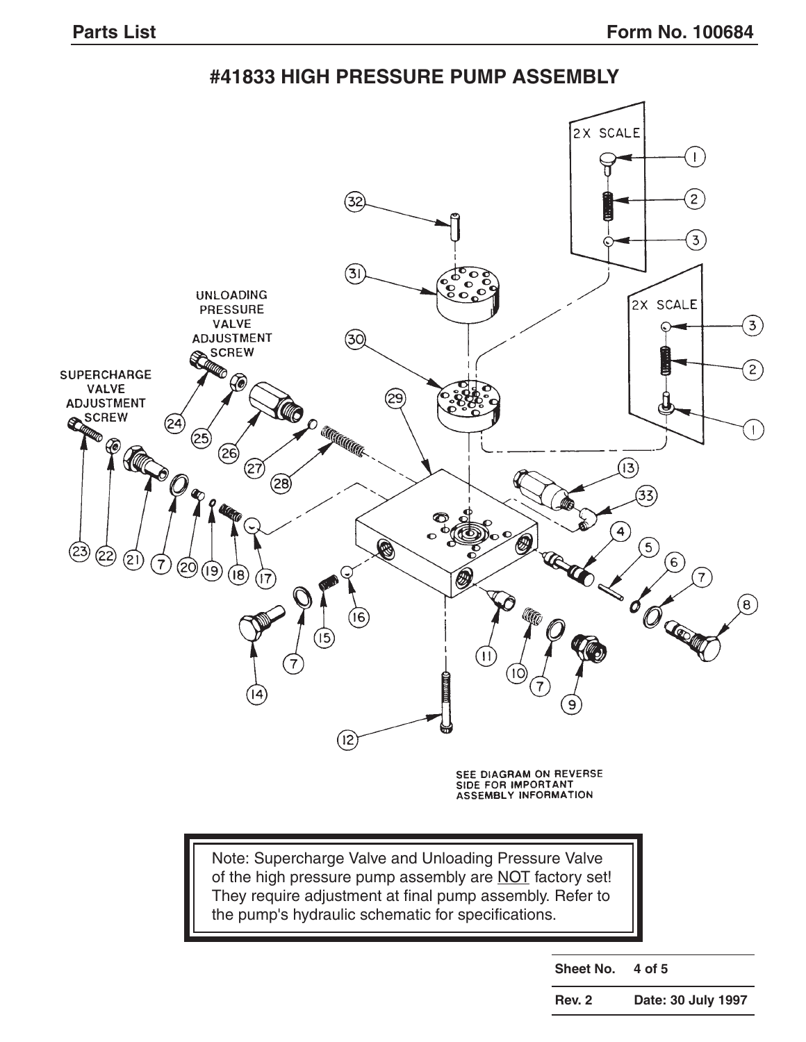**#41833 HIGH PRESSURE PUMP ASSEMBLY**



**Sheet No. 4 of 5**

**Rev. 2 Date: 30 July 1997**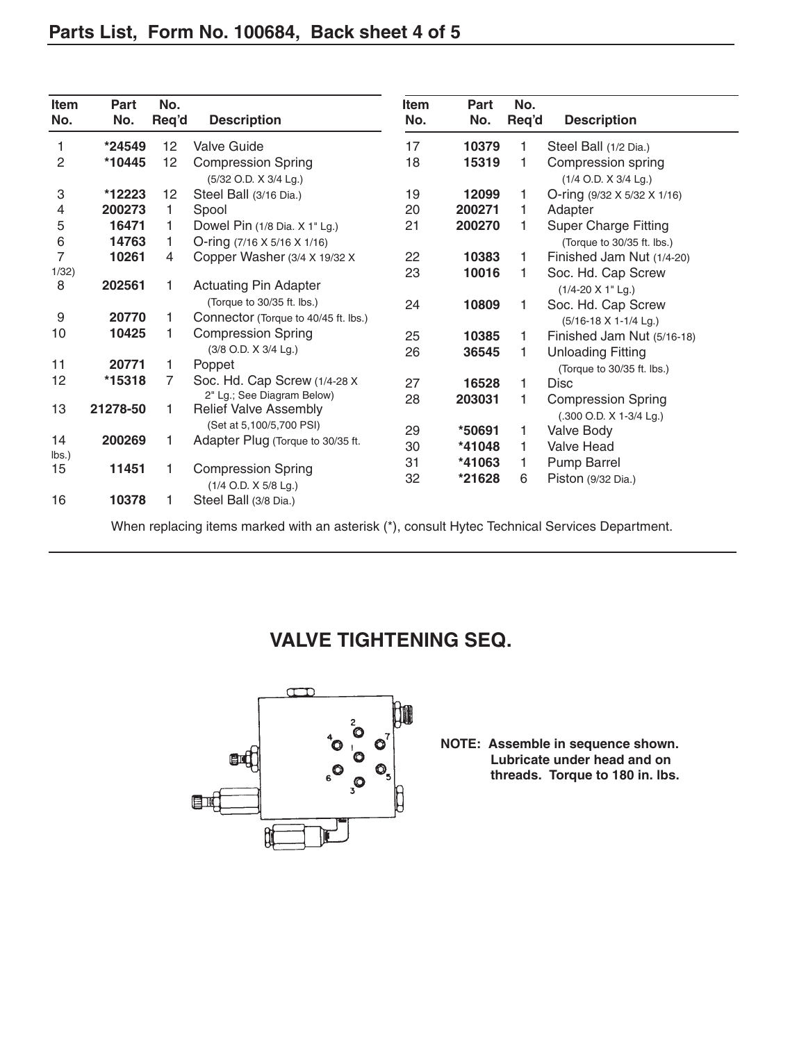| Item<br>No.      | Part<br>No. | No.<br>Req'd | <b>Description</b>                                         | Item<br>No. | Part<br>No. | No.<br>Req'd | <b>Description</b>                         |
|------------------|-------------|--------------|------------------------------------------------------------|-------------|-------------|--------------|--------------------------------------------|
| 1                | *24549      | 12           | <b>Valve Guide</b>                                         | 17          | 10379       | 1            | Steel Ball (1/2 Dia.)                      |
| 2                | *10445      | 12           | <b>Compression Spring</b><br>(5/32 O.D. X 3/4 Lg.)         | 18          | 15319       | 1            | Compression spring<br>(1/4 O.D. X 3/4 Lg.) |
| 3                | *12223      | 12           | Steel Ball (3/16 Dia.)                                     | 19          | 12099       | 1            | O-ring (9/32 X 5/32 X 1/16)                |
| 4                | 200273      | 1            | Spool                                                      | 20          | 200271      | 1            | Adapter                                    |
| 5                | 16471       | 1            | Dowel Pin (1/8 Dia. X 1" Lg.)                              | 21          | 200270      | 1            | <b>Super Charge Fitting</b>                |
| 6                | 14763       | 1            | O-ring $(7/16 \times 5/16 \times 1/16)$                    |             |             |              | (Torque to 30/35 ft. lbs.)                 |
| $\overline{7}$   | 10261       | 4            | Copper Washer (3/4 X 19/32 X                               | 22          | 10383       | 1            | Finished Jam Nut (1/4-20)                  |
| 1/32)            |             |              |                                                            | 23          | 10016       | 1            | Soc. Hd. Cap Screw                         |
| 8                | 202561      |              | <b>Actuating Pin Adapter</b>                               |             |             |              | $(1/4 - 20 \times 1$ " Lg.)                |
|                  |             |              | (Torque to 30/35 ft. lbs.)                                 | 24          | 10809       | 1            | Soc. Hd. Cap Screw                         |
| $\boldsymbol{9}$ | 20770       | 1            | Connector (Torque to 40/45 ft. lbs.)                       |             |             |              | (5/16-18 X 1-1/4 Lg.)                      |
| 10               | 10425       |              | <b>Compression Spring</b>                                  | 25          | 10385       | 1            | Finished Jam Nut (5/16-18)                 |
|                  |             |              | (3/8 O.D. X 3/4 Lg.)                                       | 26          | 36545       | 1            | <b>Unloading Fitting</b>                   |
| 11               | 20771       | 1            | Poppet                                                     |             |             |              | (Torque to 30/35 ft. lbs.)                 |
| 12               | *15318      | 7            | Soc. Hd. Cap Screw (1/4-28 X)                              | 27          | 16528       | 1            | <b>Disc</b>                                |
| 13               | 21278-50    | 1            | 2" Lg.; See Diagram Below)<br><b>Relief Valve Assembly</b> | 28          | 203031      | 1            | <b>Compression Spring</b>                  |
|                  |             |              | (Set at 5,100/5,700 PSI)                                   |             |             |              | (.300 O.D. X 1-3/4 Lg.)                    |
| 14               | 200269      | 1            | Adapter Plug (Torque to 30/35 ft.                          | 29          | *50691      | 1            | Valve Body                                 |
| lbs.)            |             |              |                                                            | 30          | *41048      | 1            | <b>Valve Head</b>                          |
| 15               | 11451       | 1            | <b>Compression Spring</b>                                  | 31          | *41063      | 1            | Pump Barrel                                |
|                  |             |              | (1/4 O.D. X 5/8 Lg.)                                       | 32          | *21628      | 6            | Piston (9/32 Dia.)                         |
| 16               | 10378       |              | Steel Ball (3/8 Dia.)                                      |             |             |              |                                            |

# **VALVE TIGHTENING SEQ.**



**NOTE: Assemble in sequence shown. Lubricate under head and on threads. Torque to 180 in. lbs.**